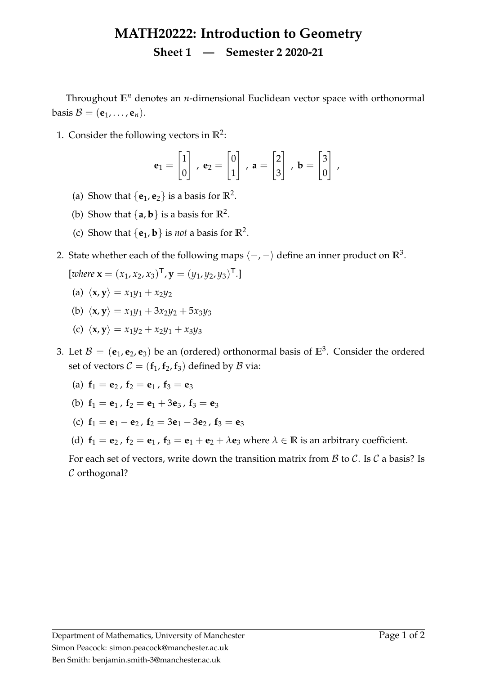## **MATH20222: Introduction to Geometry Sheet 1 — Semester 2 2020-21**

Throughout **E***<sup>n</sup>* denotes an *n*-dimensional Euclidean vector space with orthonormal basis  $\mathcal{B} = (\mathbf{e}_1, \dots, \mathbf{e}_n).$ 

1. Consider the following vectors in  $\mathbb{R}^2$ :

$$
\mathbf{e}_1 = \begin{bmatrix} 1 \\ 0 \end{bmatrix}, \ \mathbf{e}_2 = \begin{bmatrix} 0 \\ 1 \end{bmatrix}, \ \mathbf{a} = \begin{bmatrix} 2 \\ 3 \end{bmatrix}, \ \mathbf{b} = \begin{bmatrix} 3 \\ 0 \end{bmatrix},
$$

- (a) Show that  $\{e_1, e_2\}$  is a basis for  $\mathbb{R}^2$ .
- (b) Show that  $\{a, b\}$  is a basis for  $\mathbb{R}^2$ .
- (c) Show that  $\{e_1, b\}$  is *not* a basis for  $\mathbb{R}^2$ .
- 2. State whether each of the following maps  $\langle -, \rangle$  define an inner product on  $\mathbb{R}^3$ .

$$
[where \mathbf{x} = (x_1, x_2, x_3)^\mathsf{T}, \mathbf{y} = (y_1, y_2, y_3)^\mathsf{T}.
$$

- (a)  $\langle \mathbf{x}, \mathbf{y} \rangle = x_1y_1 + x_2y_2$
- (b)  $\langle x, y \rangle = x_1 y_1 + 3x_2 y_2 + 5x_3 y_3$
- (c)  $\langle x, y \rangle = x_1 y_2 + x_2 y_1 + x_3 y_3$
- 3. Let  $B = (e_1, e_2, e_3)$  be an (ordered) orthonormal basis of  $\mathbb{E}^3$ . Consider the ordered set of vectors  $C = (\mathbf{f}_1, \mathbf{f}_2, \mathbf{f}_3)$  defined by  $\mathcal{B}$  via:
	- (a)  $f_1 = e_2$ ,  $f_2 = e_1$ ,  $f_3 = e_3$
	- (b)  $f_1 = e_1$ ,  $f_2 = e_1 + 3e_3$ ,  $f_3 = e_3$
	- (c)  $f_1 = e_1 e_2$ ,  $f_2 = 3e_1 3e_2$ ,  $f_3 = e_3$
	- (d)  $f_1 = e_2$ ,  $f_2 = e_1$ ,  $f_3 = e_1 + e_2 + \lambda e_3$  where  $\lambda \in \mathbb{R}$  is an arbitrary coefficient.

For each set of vectors, write down the transition matrix from  $\beta$  to  $\beta$ . Is  $\beta$  a basis? Is C orthogonal?